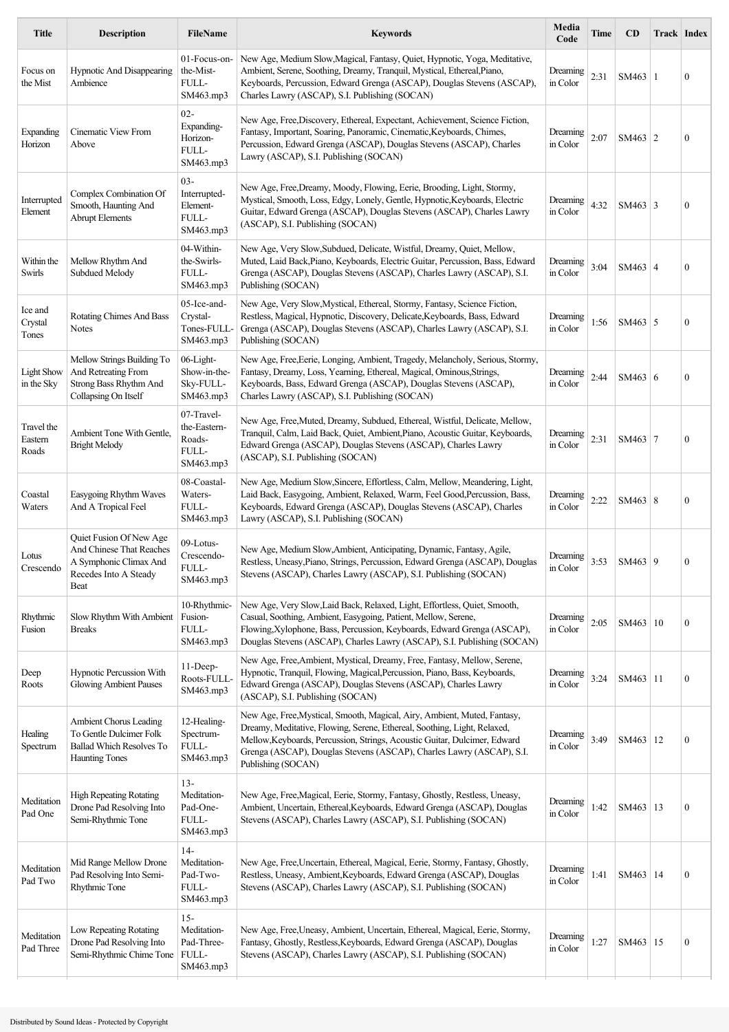| <b>Title</b>                    | <b>Description</b>                                                                                             | <b>FileName</b>                                            | <b>Keywords</b>                                                                                                                                                                                                                                                                                                                 | Media<br>Code        | <b>Time</b> | <b>CD</b>       | Track Index |                  |
|---------------------------------|----------------------------------------------------------------------------------------------------------------|------------------------------------------------------------|---------------------------------------------------------------------------------------------------------------------------------------------------------------------------------------------------------------------------------------------------------------------------------------------------------------------------------|----------------------|-------------|-----------------|-------------|------------------|
| Focus on<br>the Mist            | Hypnotic And Disappearing<br>Ambience                                                                          | 01-Focus-on-<br>the-Mist-<br>FULL-<br>SM463.mp3            | New Age, Medium Slow, Magical, Fantasy, Quiet, Hypnotic, Yoga, Meditative,<br>Ambient, Serene, Soothing, Dreamy, Tranquil, Mystical, Ethereal, Piano,<br>Keyboards, Percussion, Edward Grenga (ASCAP), Douglas Stevens (ASCAP),<br>Charles Lawry (ASCAP), S.I. Publishing (SOCAN)                                               | Dreaming<br>in Color | 2:31        | SM463           | -1          | $\boldsymbol{0}$ |
| Expanding<br>Horizon            | Cinematic View From<br>Above                                                                                   | $02 -$<br>Expanding-<br>Horizon-<br>FULL-<br>SM463.mp3     | New Age, Free, Discovery, Ethereal, Expectant, Achievement, Science Fiction,<br>Fantasy, Important, Soaring, Panoramic, Cinematic, Keyboards, Chimes,<br>Percussion, Edward Grenga (ASCAP), Douglas Stevens (ASCAP), Charles<br>Lawry (ASCAP), S.I. Publishing (SOCAN)                                                          | Dreaming<br>in Color | 2:07        | SM463 $ 2$      |             | $\boldsymbol{0}$ |
| Interrupted<br>Element          | Complex Combination Of<br>Smooth, Haunting And<br><b>Abrupt Elements</b>                                       | $03 -$<br>Interrupted-<br>Element-<br>FULL-<br>SM463.mp3   | New Age, Free, Dreamy, Moody, Flowing, Eerie, Brooding, Light, Stormy,<br>Mystical, Smooth, Loss, Edgy, Lonely, Gentle, Hypnotic, Keyboards, Electric<br>Guitar, Edward Grenga (ASCAP), Douglas Stevens (ASCAP), Charles Lawry<br>(ASCAP), S.I. Publishing (SOCAN)                                                              | Dreaming<br>in Color | 4:32        | SM463 $\vert$ 3 |             | $\boldsymbol{0}$ |
| Within the<br>Swirls            | Mellow Rhythm And<br>Subdued Melody                                                                            | 04-Within-<br>the-Swirls-<br>FULL-<br>SM463.mp3            | New Age, Very Slow, Subdued, Delicate, Wistful, Dreamy, Quiet, Mellow,<br>Muted, Laid Back, Piano, Keyboards, Electric Guitar, Percussion, Bass, Edward<br>Grenga (ASCAP), Douglas Stevens (ASCAP), Charles Lawry (ASCAP), S.I.<br>Publishing (SOCAN)                                                                           | Dreaming<br>in Color | 3:04        | $SM463 \mid 4$  |             | $\boldsymbol{0}$ |
| Ice and<br>Crystal<br>Tones     | Rotating Chimes And Bass<br>Notes                                                                              | 05-Ice-and-<br>Crystal-<br>Tones-FULL-<br>SM463.mp3        | New Age, Very Slow, Mystical, Ethereal, Stormy, Fantasy, Science Fiction,<br>Restless, Magical, Hypnotic, Discovery, Delicate, Keyboards, Bass, Edward<br>Grenga (ASCAP), Douglas Stevens (ASCAP), Charles Lawry (ASCAP), S.I.<br>Publishing (SOCAN)                                                                            | Dreaming<br>in Color | 1:56        | SM463 $\vert$ 5 |             | $\boldsymbol{0}$ |
| <b>Light Show</b><br>in the Sky | Mellow Strings Building To<br>And Retreating From<br>Strong Bass Rhythm And<br>Collapsing On Itself            | 06-Light-<br>Show-in-the-<br>Sky-FULL-<br>SM463.mp3        | New Age, Free, Eerie, Longing, Ambient, Tragedy, Melancholy, Serious, Stormy,<br>Fantasy, Dreamy, Loss, Yearning, Ethereal, Magical, Ominous, Strings,<br>Keyboards, Bass, Edward Grenga (ASCAP), Douglas Stevens (ASCAP),<br>Charles Lawry (ASCAP), S.I. Publishing (SOCAN)                                                    | Dreaming<br>in Color | 2:44        | SM463 $\vert$ 6 |             | $\boldsymbol{0}$ |
| Travel the<br>Eastern<br>Roads  | Ambient Tone With Gentle,<br><b>Bright Melody</b>                                                              | 07-Travel-<br>the-Eastern-<br>Roads-<br>FULL-<br>SM463.mp3 | New Age, Free, Muted, Dreamy, Subdued, Ethereal, Wistful, Delicate, Mellow,<br>Tranquil, Calm, Laid Back, Quiet, Ambient, Piano, Acoustic Guitar, Keyboards,<br>Edward Grenga (ASCAP), Douglas Stevens (ASCAP), Charles Lawry<br>(ASCAP), S.I. Publishing (SOCAN)                                                               | Dreaming<br>in Color | 2:31        | $SM463$   7     |             | $\boldsymbol{0}$ |
| Coastal<br>Waters               | Easygoing Rhythm Waves<br>And A Tropical Feel                                                                  | 08-Coastal-<br>Waters-<br>FULL-<br>SM463.mp3               | New Age, Medium Slow, Sincere, Effortless, Calm, Mellow, Meandering, Light,<br>Laid Back, Easygoing, Ambient, Relaxed, Warm, Feel Good, Percussion, Bass,<br>Keyboards, Edward Grenga (ASCAP), Douglas Stevens (ASCAP), Charles<br>Lawry (ASCAP), S.I. Publishing (SOCAN)                                                       | Dreaming<br>in Color | 2:22        | SM463 $ 8$      |             | $\boldsymbol{0}$ |
| Lotus<br>Crescendo              | Quiet Fusion Of New Age<br>And Chinese That Reaches<br>A Symphonic Climax And<br>Recedes Into A Steady<br>Beat | 09-Lotus-<br>Crescendo-<br>FULL-<br>SM463.mp3              | New Age, Medium Slow, Ambient, Anticipating, Dynamic, Fantasy, Agile,<br>Restless, Uneasy, Piano, Strings, Percussion, Edward Grenga (ASCAP), Douglas<br>Stevens (ASCAP), Charles Lawry (ASCAP), S.I. Publishing (SOCAN)                                                                                                        | Dreaming<br>in Color | 3:53        | SM463 9         |             | $\boldsymbol{0}$ |
| Rhythmic<br>Fusion              | Slow Rhythm With Ambient<br><b>Breaks</b>                                                                      | 10-Rhythmic-<br>Fusion-<br>FULL-<br>SM463.mp3              | New Age, Very Slow, Laid Back, Relaxed, Light, Effortless, Quiet, Smooth,<br>Casual, Soothing, Ambient, Easygoing, Patient, Mellow, Serene,<br>Flowing, Xylophone, Bass, Percussion, Keyboards, Edward Grenga (ASCAP),<br>Douglas Stevens (ASCAP), Charles Lawry (ASCAP), S.I. Publishing (SOCAN)                               | Dreaming<br>in Color | 2:05        | SM463   10      |             | $\boldsymbol{0}$ |
| Deep<br>Roots                   | Hypnotic Percussion With<br><b>Glowing Ambient Pauses</b>                                                      | 11-Deep-<br>Roots-FULL-<br>SM463.mp3                       | New Age, Free, Ambient, Mystical, Dreamy, Free, Fantasy, Mellow, Serene,<br>Hypnotic, Tranquil, Flowing, Magical, Percussion, Piano, Bass, Keyboards,<br>Edward Grenga (ASCAP), Douglas Stevens (ASCAP), Charles Lawry<br>(ASCAP), S.I. Publishing (SOCAN)                                                                      | Dreaming<br>in Color | 3:24        | SM463   11      |             | $\boldsymbol{0}$ |
| Healing<br>Spectrum             | Ambient Chorus Leading<br>To Gentle Dulcimer Folk<br><b>Ballad Which Resolves To</b><br><b>Haunting Tones</b>  | 12-Healing-<br>Spectrum-<br>FULL-<br>SM463.mp3             | New Age, Free, Mystical, Smooth, Magical, Airy, Ambient, Muted, Fantasy,<br>Dreamy, Meditative, Flowing, Serene, Ethereal, Soothing, Light, Relaxed,<br>Mellow, Keyboards, Percussion, Strings, Acoustic Guitar, Dulcimer, Edward<br>Grenga (ASCAP), Douglas Stevens (ASCAP), Charles Lawry (ASCAP), S.I.<br>Publishing (SOCAN) | Dreaming<br>in Color | 3:49        | SM463   12      |             | $\boldsymbol{0}$ |
| Meditation<br>Pad One           | <b>High Repeating Rotating</b><br>Drone Pad Resolving Into<br>Semi-Rhythmic Tone                               | $13 -$<br>Meditation-<br>Pad-One-<br>FULL-<br>SM463.mp3    | New Age, Free, Magical, Eerie, Stormy, Fantasy, Ghostly, Restless, Uneasy,<br>Ambient, Uncertain, Ethereal, Keyboards, Edward Grenga (ASCAP), Douglas<br>Stevens (ASCAP), Charles Lawry (ASCAP), S.I. Publishing (SOCAN)                                                                                                        | Dreaming<br>in Color | 1:42        | SM463           | 13          | $\boldsymbol{0}$ |
| Meditation<br>Pad Two           | Mid Range Mellow Drone<br>Pad Resolving Into Semi-<br>Rhythmic Tone                                            | $14-$<br>Meditation-<br>Pad-Two-<br>FULL-<br>SM463.mp3     | New Age, Free, Uncertain, Ethereal, Magical, Eerie, Stormy, Fantasy, Ghostly,<br>Restless, Uneasy, Ambient, Keyboards, Edward Grenga (ASCAP), Douglas<br>Stevens (ASCAP), Charles Lawry (ASCAP), S.I. Publishing (SOCAN)                                                                                                        | Dreaming<br>in Color | 1:41        | SM463           | 14          | $\boldsymbol{0}$ |
| Meditation<br>Pad Three         | Low Repeating Rotating<br>Drone Pad Resolving Into<br>Semi-Rhythmic Chime Tone                                 | $15 -$<br>Meditation-<br>Pad-Three-<br>FULL-<br>SM463.mp3  | New Age, Free, Uneasy, Ambient, Uncertain, Ethereal, Magical, Eerie, Stormy,<br>Fantasy, Ghostly, Restless, Keyboards, Edward Grenga (ASCAP), Douglas<br>Stevens (ASCAP), Charles Lawry (ASCAP), S.I. Publishing (SOCAN)                                                                                                        | Dreaming<br>in Color | 1:27        | SM463   15      |             | $\boldsymbol{0}$ |
|                                 |                                                                                                                |                                                            |                                                                                                                                                                                                                                                                                                                                 |                      |             |                 |             |                  |